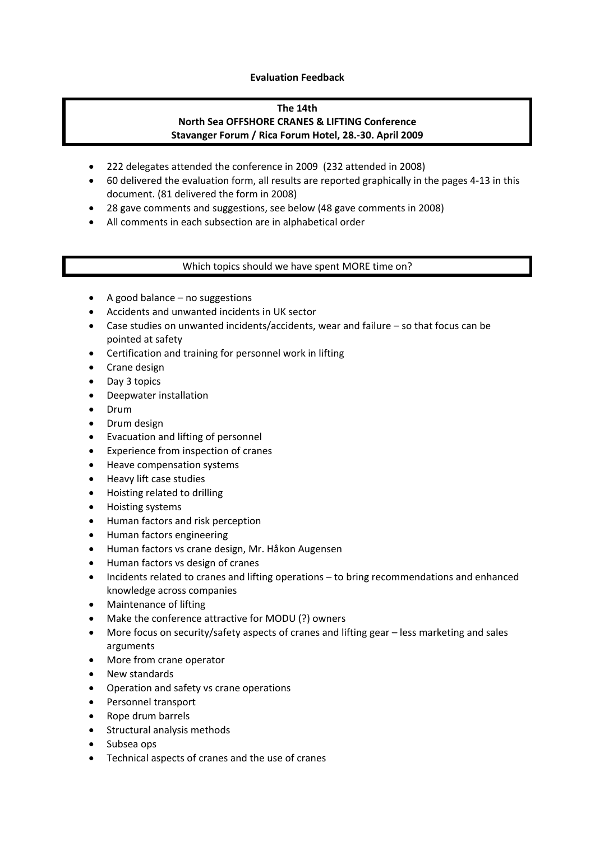## **Evaluation Feedback**

# **The 14th North Sea OFFSHORE CRANES & LIFTING Conference Stavanger Forum / Rica Forum Hotel, 28.‐30. April 2009**

- 222 delegates attended the conference in 2009 (232 attended in 2008)
- 60 delivered the evaluation form, all results are reported graphically in the pages 4‐13 in this document. (81 delivered the form in 2008)
- 28 gave comments and suggestions, see below (48 gave comments in 2008)
- All comments in each subsection are in alphabetical order

Which topics should we have spent MORE time on?

- A good balance no suggestions
- Accidents and unwanted incidents in UK sector
- Case studies on unwanted incidents/accidents, wear and failure so that focus can be pointed at safety
- Certification and training for personnel work in lifting
- Crane design
- Day 3 topics
- Deepwater installation
- Drum
- Drum design
- Evacuation and lifting of personnel
- Experience from inspection of cranes
- Heave compensation systems
- Heavy lift case studies
- Hoisting related to drilling
- Hoisting systems
- Human factors and risk perception
- Human factors engineering
- Human factors vs crane design, Mr. Håkon Augensen
- Human factors vs design of cranes
- Incidents related to cranes and lifting operations to bring recommendations and enhanced knowledge across companies
- Maintenance of lifting
- Make the conference attractive for MODU (?) owners
- More focus on security/safety aspects of cranes and lifting gear less marketing and sales arguments
- More from crane operator
- New standards
- Operation and safety vs crane operations
- Personnel transport
- Rope drum barrels
- Structural analysis methods
- Subsea ops
- Technical aspects of cranes and the use of cranes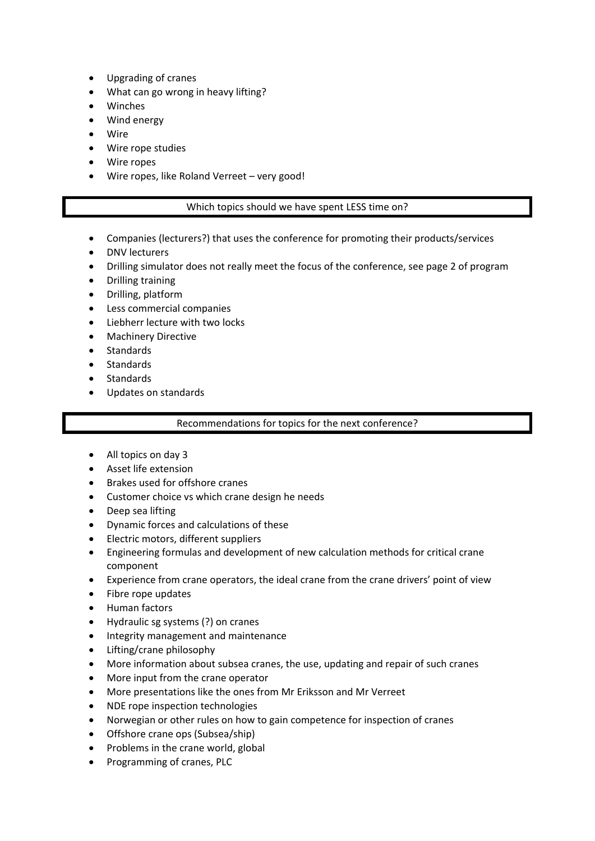- Upgrading of cranes
- What can go wrong in heavy lifting?
- Winches
- Wind energy
- Wire
- Wire rope studies
- Wire ropes
- Wire ropes, like Roland Verreet very good!

## Which topics should we have spent LESS time on?

- Companies (lecturers?) that uses the conference for promoting their products/services
- DNV lecturers
- Drilling simulator does not really meet the focus of the conference, see page 2 of program
- Drilling training
- Drilling, platform
- Less commercial companies
- Liebherr lecture with two locks
- Machinery Directive
- Standards
- **Standards**
- Standards
- Updates on standards

### Recommendations for topics for the next conference?

- All topics on day 3
- Asset life extension
- Brakes used for offshore cranes
- Customer choice vs which crane design he needs
- Deep sea lifting
- Dynamic forces and calculations of these
- Electric motors, different suppliers
- Engineering formulas and development of new calculation methods for critical crane component
- Experience from crane operators, the ideal crane from the crane drivers' point of view
- Fibre rope updates
- Human factors
- Hydraulic sg systems (?) on cranes
- Integrity management and maintenance
- Lifting/crane philosophy
- More information about subsea cranes, the use, updating and repair of such cranes
- More input from the crane operator
- More presentations like the ones from Mr Eriksson and Mr Verreet
- NDE rope inspection technologies
- Norwegian or other rules on how to gain competence for inspection of cranes
- Offshore crane ops (Subsea/ship)
- Problems in the crane world, global
- Programming of cranes, PLC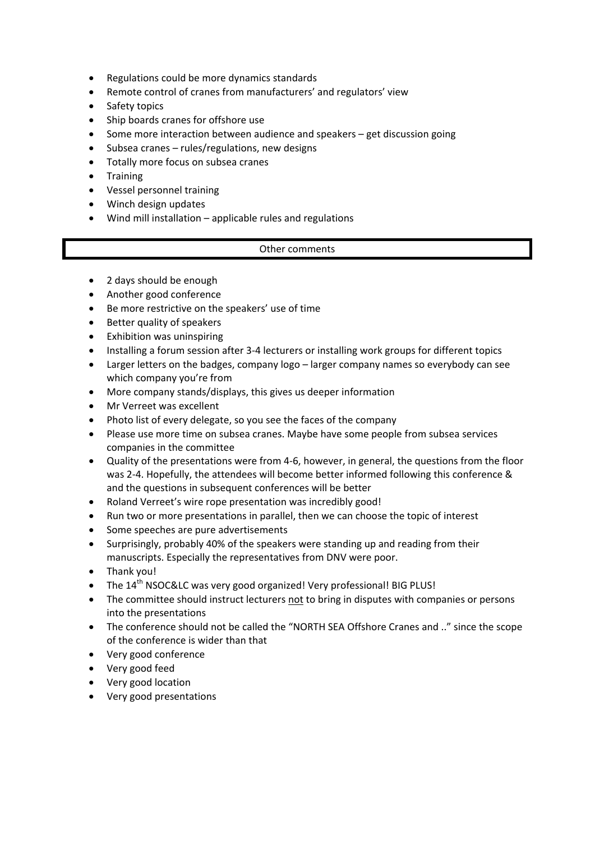- Regulations could be more dynamics standards
- Remote control of cranes from manufacturers' and regulators' view
- Safety topics
- Ship boards cranes for offshore use
- Some more interaction between audience and speakers get discussion going
- Subsea cranes rules/regulations, new designs
- Totally more focus on subsea cranes
- **Training**
- Vessel personnel training
- Winch design updates
- Wind mill installation applicable rules and regulations

### Other comments

- 2 days should be enough
- Another good conference
- Be more restrictive on the speakers' use of time
- Better quality of speakers
- Exhibition was uninspiring
- Installing a forum session after 3-4 lecturers or installing work groups for different topics
- Larger letters on the badges, company logo larger company names so everybody can see which company you're from
- More company stands/displays, this gives us deeper information
- Mr Verreet was excellent
- Photo list of every delegate, so you see the faces of the company
- Please use more time on subsea cranes. Maybe have some people from subsea services companies in the committee
- Quality of the presentations were from 4-6, however, in general, the questions from the floor was 2-4. Hopefully, the attendees will become better informed following this conference & and the questions in subsequent conferences will be better
- Roland Verreet's wire rope presentation was incredibly good!
- Run two or more presentations in parallel, then we can choose the topic of interest
- Some speeches are pure advertisements
- Surprisingly, probably 40% of the speakers were standing up and reading from their manuscripts. Especially the representatives from DNV were poor.
- Thank you!
- The 14<sup>th</sup> NSOC&LC was very good organized! Very professional! BIG PLUS!
- The committee should instruct lecturers not to bring in disputes with companies or persons into the presentations
- The conference should not be called the "NORTH SEA Offshore Cranes and .." since the scope of the conference is wider than that
- Very good conference
- Very good feed
- Very good location
- Very good presentations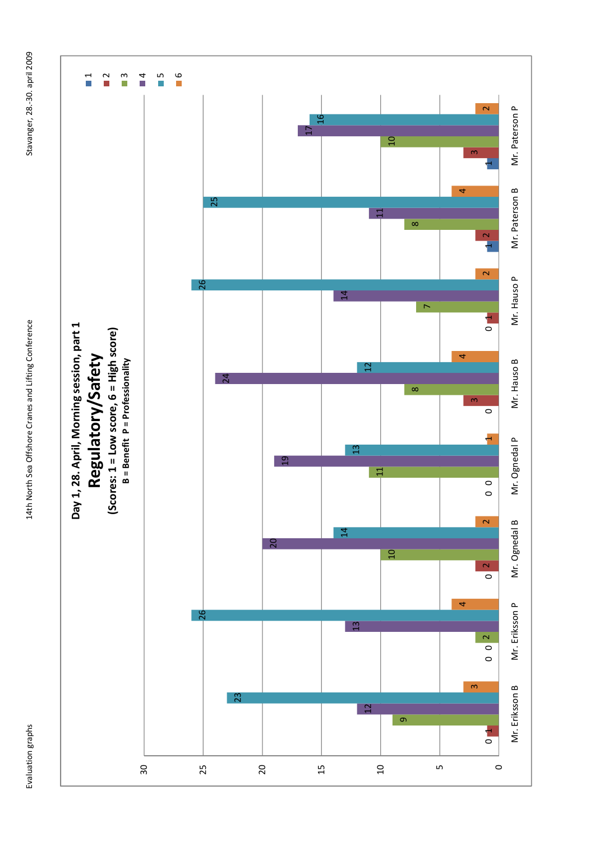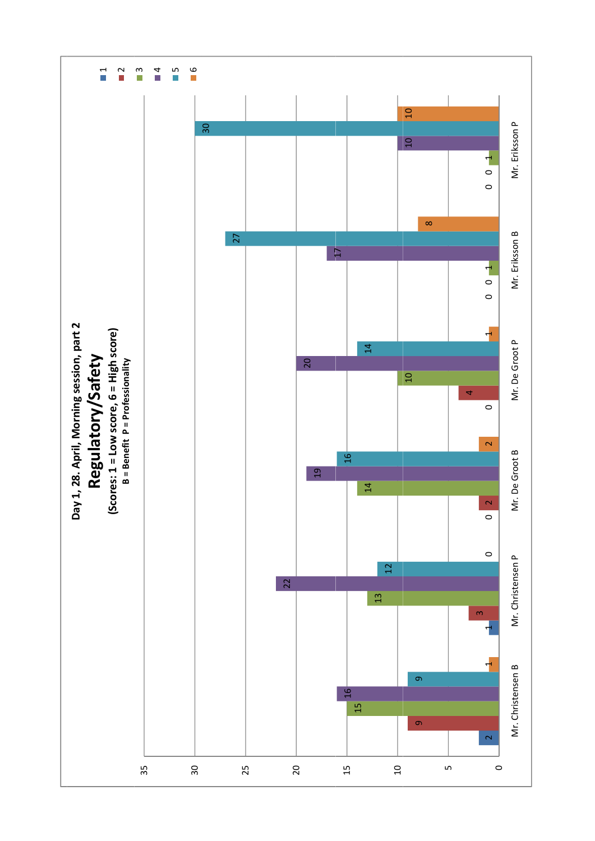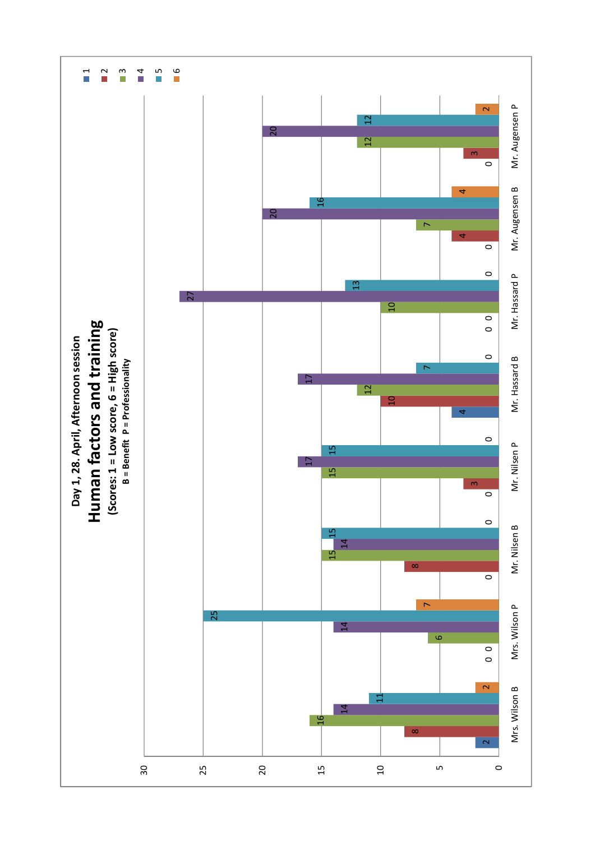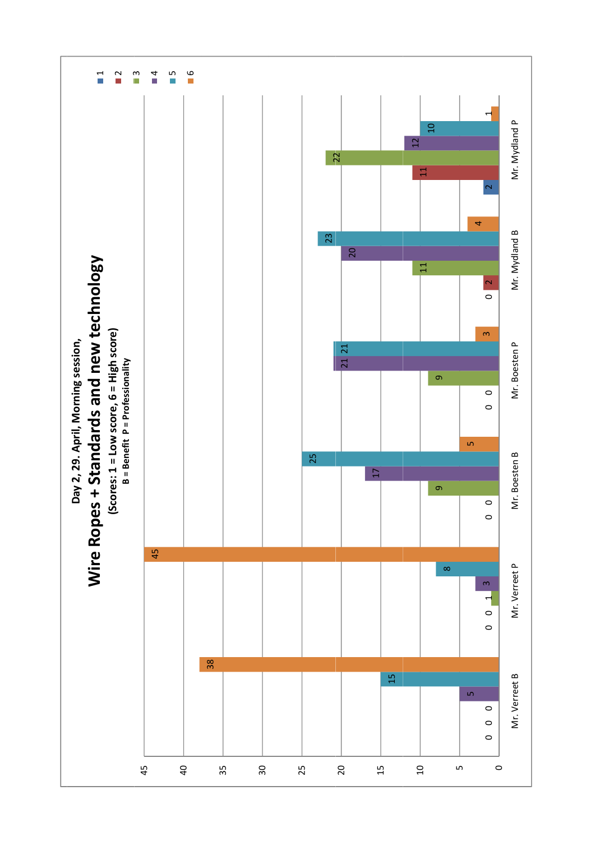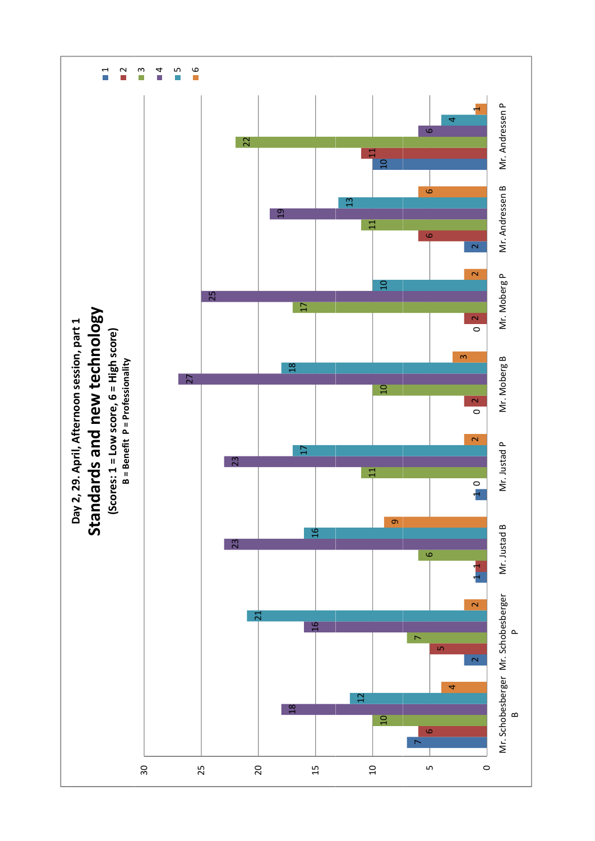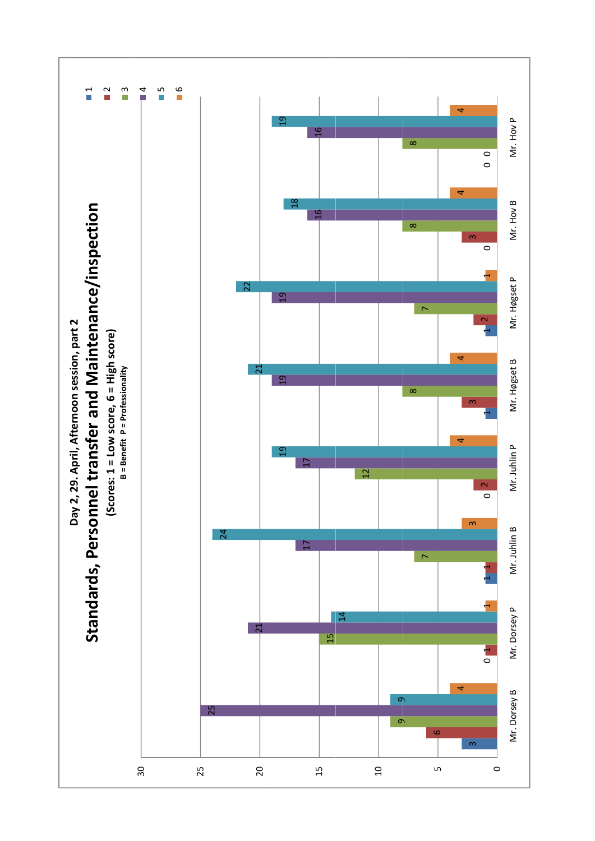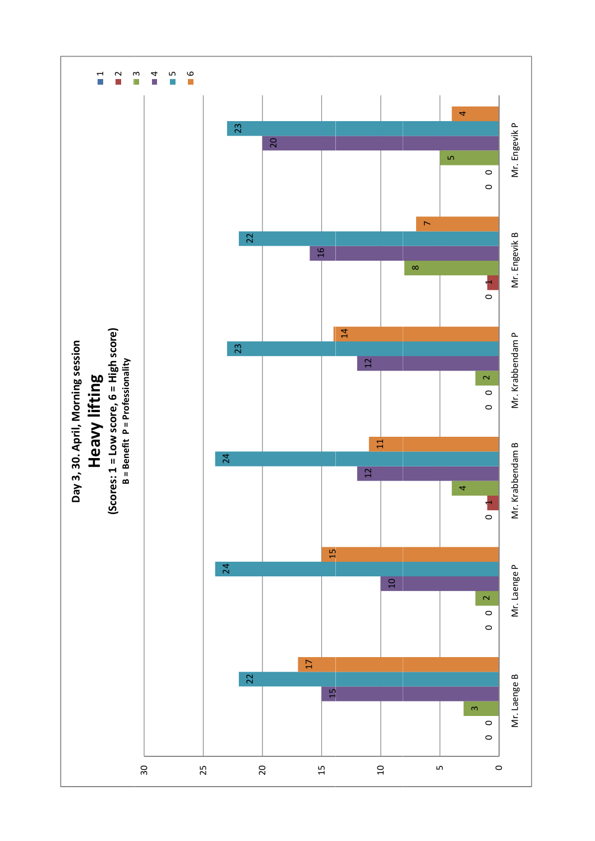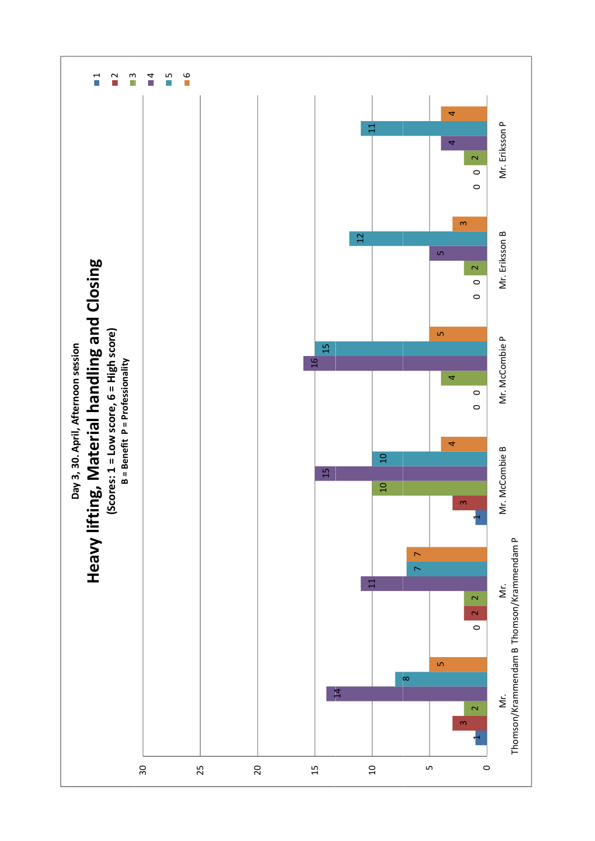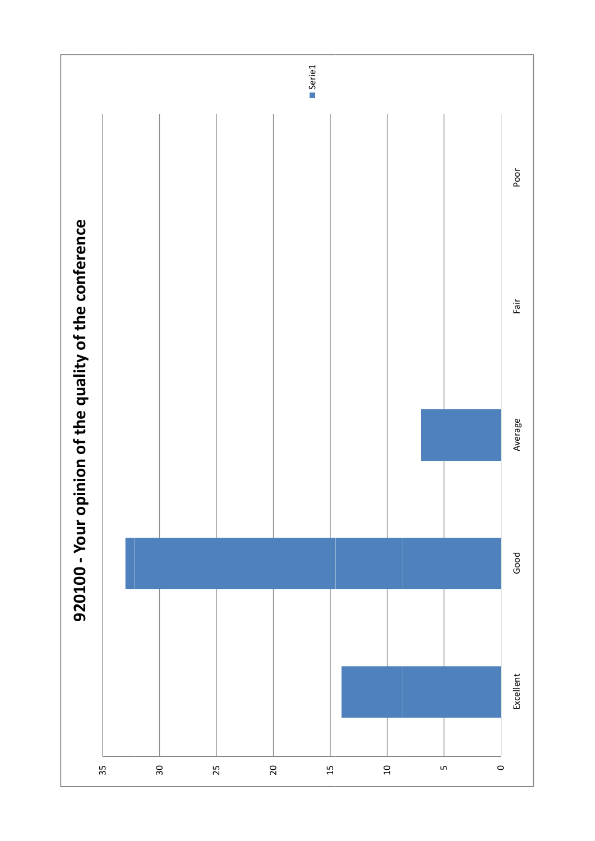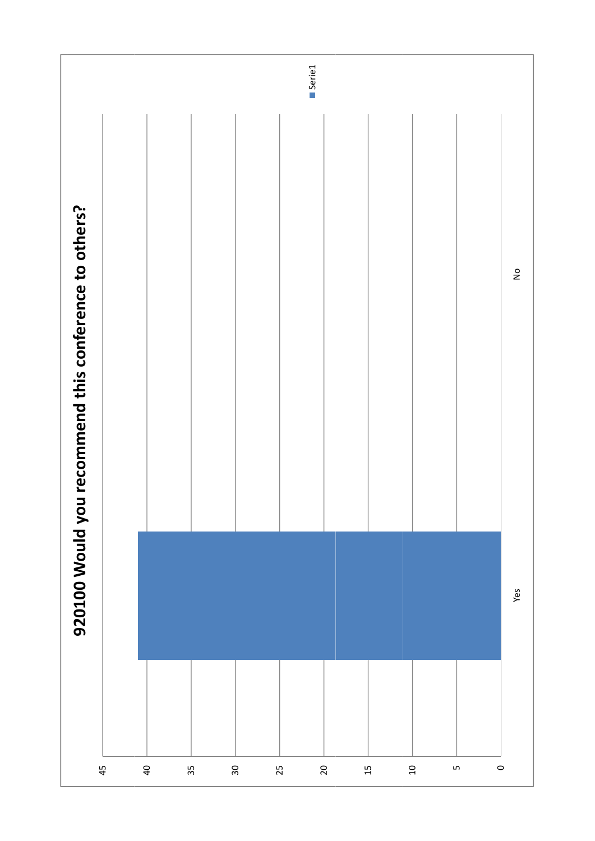